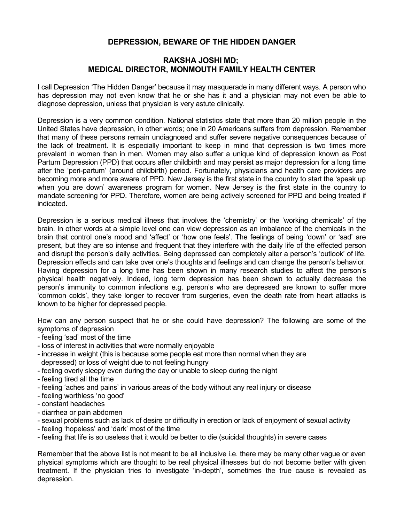## **DEPRESSION, BEWARE OF THE HIDDEN DANGER**

## **RAKSHA JOSHI MD; MEDICAL DIRECTOR, MONMOUTH FAMILY HEALTH CENTER**

I call Depression 'The Hidden Danger' because it may masquerade in many different ways. A person who has depression may not even know that he or she has it and a physician may not even be able to diagnose depression, unless that physician is very astute clinically.

Depression is a very common condition. National statistics state that more than 20 million people in the United States have depression, in other words; one in 20 Americans suffers from depression. Remember that many of these persons remain undiagnosed and suffer severe negative consequences because of the lack of treatment. It is especially important to keep in mind that depression is two times more prevalent in women than in men. Women may also suffer a unique kind of depression known as Post Partum Depression (PPD) that occurs after childbirth and may persist as major depression for a long time after the 'peri-partum' (around childbirth) period. Fortunately, physicians and health care providers are becoming more and more aware of PPD. New Jersey is the first state in the country to start the 'speak up when you are down' awareness program for women. New Jersey is the first state in the country to mandate screening for PPD. Therefore, women are being actively screened for PPD and being treated if indicated.

Depression is a serious medical illness that involves the 'chemistry' or the 'working chemicals' of the brain. In other words at a simple level one can view depression as an imbalance of the chemicals in the brain that control one's mood and 'affect' or 'how one feels'. The feelings of being 'down' or 'sad' are present, but they are so intense and frequent that they interfere with the daily life of the effected person and disrupt the person's daily activities. Being depressed can completely alter a person's 'outlook' of life. Depression effects and can take over one's thoughts and feelings and can change the person's behavior. Having depression for a long time has been shown in many research studies to affect the person's physical health negatively. Indeed, long term depression has been shown to actually decrease the person's immunity to common infections e.g. person's who are depressed are known to suffer more 'common colds', they take longer to recover from surgeries, even the death rate from heart attacks is known to be higher for depressed people.

How can any person suspect that he or she could have depression? The following are some of the symptoms of depression

- feeling 'sad' most of the time
- loss of interest in activities that were normally enjoyable
- increase in weight (this is because some people eat more than normal when they are depressed) or loss of weight due to not feeling hungry
- feeling overly sleepy even during the day or unable to sleep during the night
- feeling tired all the time
- feeling 'aches and pains' in various areas of the body without any real injury or disease
- feeling worthless 'no good'
- constant headaches
- diarrhea or pain abdomen
- sexual problems such as lack of desire or difficulty in erection or lack of enjoyment of sexual activity
- feeling 'hopeless' and 'dark' most of the time
- feeling that life is so useless that it would be better to die (suicidal thoughts) in severe cases

Remember that the above list is not meant to be all inclusive i.e. there may be many other vague or even physical symptoms which are thought to be real physical illnesses but do not become better with given treatment. If the physician tries to investigate 'in-depth', sometimes the true cause is revealed as depression.